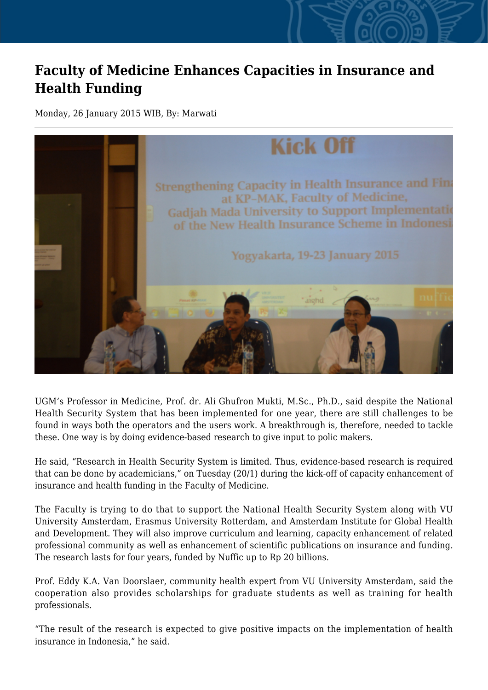## **Faculty of Medicine Enhances Capacities in Insurance and Health Funding**

Monday, 26 January 2015 WIB, By: Marwati



UGM's Professor in Medicine, Prof. dr. Ali Ghufron Mukti, M.Sc., Ph.D., said despite the National Health Security System that has been implemented for one year, there are still challenges to be found in ways both the operators and the users work. A breakthrough is, therefore, needed to tackle these. One way is by doing evidence-based research to give input to polic makers.

He said, "Research in Health Security System is limited. Thus, evidence-based research is required that can be done by academicians," on Tuesday (20/1) during the kick-off of capacity enhancement of insurance and health funding in the Faculty of Medicine.

The Faculty is trying to do that to support the National Health Security System along with VU University Amsterdam, Erasmus University Rotterdam, and Amsterdam Institute for Global Health and Development. They will also improve curriculum and learning, capacity enhancement of related professional community as well as enhancement of scientific publications on insurance and funding. The research lasts for four years, funded by Nuffic up to Rp 20 billions.

Prof. Eddy K.A. Van Doorslaer, community health expert from VU University Amsterdam, said the cooperation also provides scholarships for graduate students as well as training for health professionals.

"The result of the research is expected to give positive impacts on the implementation of health insurance in Indonesia," he said.